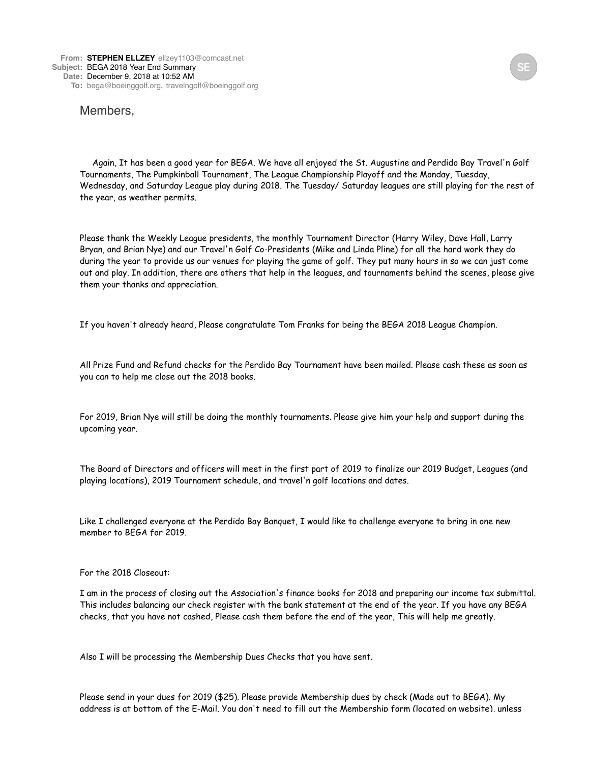## Members,

 Again, It has been a good year for BEGA. We have all enjoyed the St. Augustine and Perdido Bay Travel'n Golf Tournaments, The Pumpkinball Tournament, The League Championship Playoff and the Monday, Tuesday, Wednesday, and Saturday League play during 2018. The Tuesday/ Saturday leagues are still playing for the rest of the year, as weather permits.

Please thank the Weekly League presidents, the monthly Tournament Director (Harry Wiley, Dave Hall, Larry Bryan, and Brian Nye) and our Travel'n Golf Co-Presidents (Mike and Linda Pline) for all the hard work they do during the year to provide us our venues for playing the game of golf. They put many hours in so we can just come out and play. In addition, there are others that help in the leagues, and tournaments behind the scenes, please give them your thanks and appreciation.

If you haven't already heard, Please congratulate Tom Franks for being the BEGA 2018 League Champion.

All Prize Fund and Refund checks for the Perdido Bay Tournament have been mailed. Please cash these as soon as you can to help me close out the 2018 books.

For 2019, Brian Nye will still be doing the monthly tournaments. Please give him your help and support during the upcoming year.

The Board of Directors and officers will meet in the first part of 2019 to finalize our 2019 Budget, Leagues (and playing locations), 2019 Tournament schedule, and travel'n golf locations and dates.

Like I challenged everyone at the Perdido Bay Banquet, I would like to challenge everyone to bring in one new member to BEGA for 2019.

## For the 2018 Closeout:

I am in the process of closing out the Association's finance books for 2018 and preparing our income tax submittal. This includes balancing our check register with the bank statement at the end of the year. If you have any BEGA checks, that you have not cashed, Please cash them before the end of the year, This will help me greatly.

Also I will be processing the Membership Dues Checks that you have sent.

Please send in your dues for 2019 (\$25). Please provide Membership dues by check (Made out to BEGA). My address is at bottom of the E-Mail. You don't need to fill out the Membership form (located on website), unless